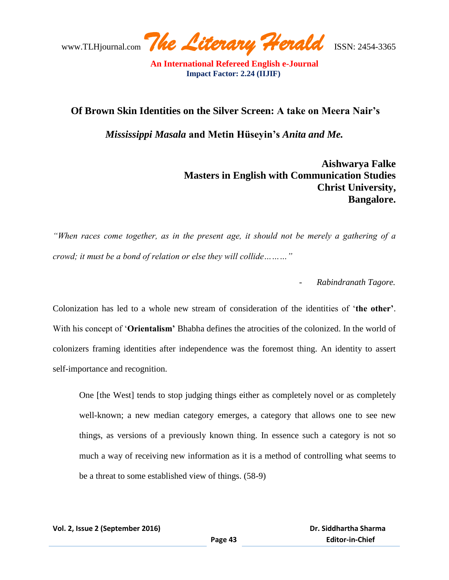www.TLHjournal.com *The Literary Herald*ISSN: 2454-3365

## **Of Brown Skin Identities on the Silver Screen: A take on Meera Nair's**

*Mississippi Masala* **and Metin Hüseyin's** *Anita and Me.*

**Aishwarya Falke Masters in English with Communication Studies Christ University, Bangalore.** 

*"When races come together, as in the present age, it should not be merely a gathering of a crowd; it must be a bond of relation or else they will collide………"* 

- *Rabindranath Tagore.*

Colonization has led to a whole new stream of consideration of the identities of ‗**the other'**. With his concept of 'Orientalism' Bhabha defines the atrocities of the colonized. In the world of colonizers framing identities after independence was the foremost thing. An identity to assert self-importance and recognition.

One [the West] tends to stop judging things either as completely novel or as completely well-known; a new median category emerges, a category that allows one to see new things, as versions of a previously known thing. In essence such a category is not so much a way of receiving new information as it is a method of controlling what seems to be a threat to some established view of things. (58-9)

**Vol. 2, Issue 2 (September 2016)**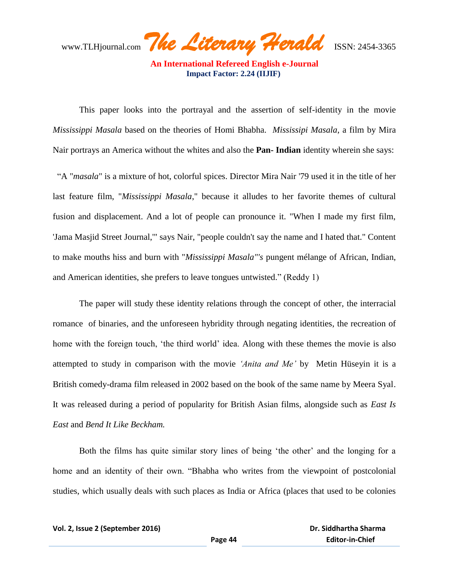www.TLHjournal.com *The Literary Herald*ISSN: 2454-3365

This paper looks into the portrayal and the assertion of self-identity in the movie *Mississippi Masala* based on the theories of Homi Bhabha. *Mississipi Masala*, a film by Mira Nair portrays an America without the whites and also the **Pan- Indian** identity wherein she says:

 ―A "*masala*" is a mixture of hot, colorful spices. Director Mira Nair '79 used it in the title of her last feature film, "*Mississippi Masala*," because it alludes to her favorite themes of cultural fusion and displacement. And a lot of people can pronounce it. "When I made my first film, 'Jama Masjid Street Journal,'" says Nair, "people couldn't say the name and I hated that." Content to make mouths hiss and burn with "*Mississippi Masala"'s* pungent mélange of African, Indian, and American identities, she prefers to leave tongues untwisted." (Reddy 1)

The paper will study these identity relations through the concept of other, the interracial romance of binaries, and the unforeseen hybridity through negating identities, the recreation of home with the foreign touch, 'the third world' idea. Along with these themes the movie is also attempted to study in comparison with the movie *"Anita and Me"* by Metin Hüseyin it is a British comedy-drama film released in 2002 based on the book of the same name by Meera Syal. It was released during a period of popularity for British Asian films, alongside such as *East Is East* and *Bend It Like Beckham.* 

Both the films has quite similar story lines of being 'the other' and the longing for a home and an identity of their own. "Bhabha who writes from the viewpoint of postcolonial studies, which usually deals with such places as India or Africa (places that used to be colonies

**Vol. 2, Issue 2 (September 2016)**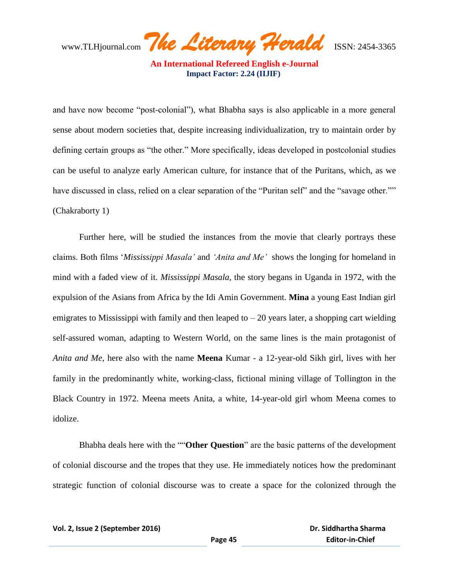www.TLHjournal.com *The Literary Herald*ISSN: 2454-3365

and have now become "post-colonial"), what Bhabha says is also applicable in a more general sense about modern societies that, despite increasing individualization, try to maintain order by defining certain groups as "the other." More specifically, ideas developed in postcolonial studies can be useful to analyze early American culture, for instance that of the Puritans, which, as we have discussed in class, relied on a clear separation of the "Puritan self" and the "savage other."" (Chakraborty 1)

Further here, will be studied the instances from the movie that clearly portrays these claims. Both films ‗*Mississippi Masala"* and *"Anita and Me"* shows the longing for homeland in mind with a faded view of it. *Mississippi Masala,* the story begans in Uganda in 1972, with the expulsion of the Asians from Africa by the Idi Amin Government. **Mina** a young East Indian girl emigrates to Mississippi with family and then leaped to  $-20$  years later, a shopping cart wielding self-assured woman, adapting to Western World, on the same lines is the main protagonist of *Anita and Me,* here also with the name **Meena** Kumar - a 12-year-old Sikh girl, lives with her family in the predominantly white, working-class, fictional mining village of Tollington in the Black Country in 1972. Meena meets Anita, a white, 14-year-old girl whom Meena comes to idolize.

Bhabha deals here with the ""Other Question" are the basic patterns of the development of colonial discourse and the tropes that they use. He immediately notices how the predominant strategic function of colonial discourse was to create a space for the colonized through the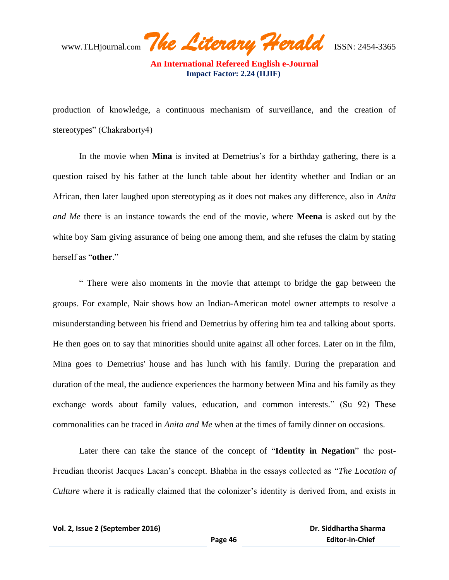www.TLHjournal.com *The Literary Herald*ISSN: 2454-3365

production of knowledge, a continuous mechanism of surveillance, and the creation of stereotypes" (Chakraborty4)

In the movie when **Mina** is invited at Demetrius's for a birthday gathering, there is a question raised by his father at the lunch table about her identity whether and Indian or an African, then later laughed upon stereotyping as it does not makes any difference, also in *Anita and Me* there is an instance towards the end of the movie, where **Meena** is asked out by the white boy Sam giving assurance of being one among them, and she refuses the claim by stating herself as "**other**."

― There were also moments in the movie that attempt to bridge the gap between the groups. For example, Nair shows how an Indian-American motel owner attempts to resolve a misunderstanding between his friend and Demetrius by offering him tea and talking about sports. He then goes on to say that minorities should unite against all other forces. Later on in the film, Mina goes to Demetrius' house and has lunch with his family. During the preparation and duration of the meal, the audience experiences the harmony between Mina and his family as they exchange words about family values, education, and common interests." (Su 92) These commonalities can be traced in *Anita and Me* when at the times of family dinner on occasions.

Later there can take the stance of the concept of "Identity in Negation" the post-Freudian theorist Jacques Lacan's concept. Bhabha in the essays collected as "The Location of *Culture* where it is radically claimed that the colonizer's identity is derived from, and exists in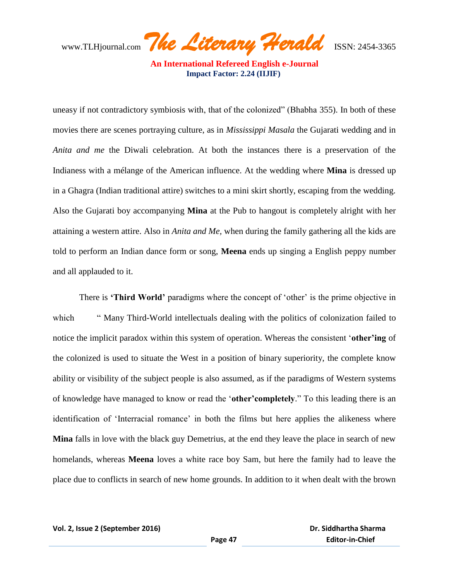www.TLHjournal.com *The Literary Herald*ISSN: 2454-3365

uneasy if not contradictory symbiosis with, that of the colonized" (Bhabha 355). In both of these movies there are scenes portraying culture, as in *Mississippi Masala* the Gujarati wedding and in *Anita and me* the Diwali celebration. At both the instances there is a preservation of the Indianess with a mélange of the American influence. At the wedding where **Mina** is dressed up in a Ghagra (Indian traditional attire) switches to a mini skirt shortly, escaping from the wedding. Also the Gujarati boy accompanying **Mina** at the Pub to hangout is completely alright with her attaining a western attire. Also in *Anita and Me,* when during the family gathering all the kids are told to perform an Indian dance form or song, **Meena** ends up singing a English peppy number and all applauded to it.

There is **Third World'** paradigms where the concept of 'other' is the prime objective in which — "Many Third-World intellectuals dealing with the politics of colonization failed to notice the implicit paradox within this system of operation. Whereas the consistent *other'ing* of the colonized is used to situate the West in a position of binary superiority, the complete know ability or visibility of the subject people is also assumed, as if the paradigms of Western systems of knowledge have managed to know or read the 'other' completely." To this leading there is an identification of 'Interracial romance' in both the films but here applies the alikeness where **Mina** falls in love with the black guy Demetrius, at the end they leave the place in search of new homelands, whereas **Meena** loves a white race boy Sam, but here the family had to leave the place due to conflicts in search of new home grounds. In addition to it when dealt with the brown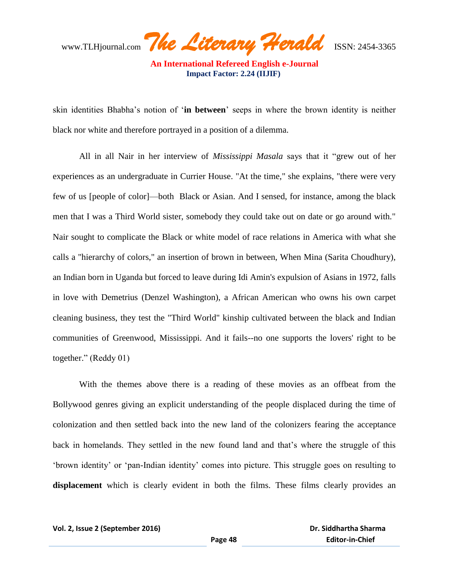www.TLHjournal.com *The Literary Herald*ISSN: 2454-3365

skin identities Bhabha's notion of ‗**in between**' seeps in where the brown identity is neither black nor white and therefore portrayed in a position of a dilemma.

All in all Nair in her interview of *Mississippi Masala* says that it "grew out of her experiences as an undergraduate in Currier House. "At the time," she explains, "there were very few of us [people of color]—both Black or Asian. And I sensed, for instance, among the black men that I was a Third World sister, somebody they could take out on date or go around with." Nair sought to complicate the Black or white model of race relations in America with what she calls a "hierarchy of colors," an insertion of brown in between, When Mina (Sarita Choudhury), an Indian born in Uganda but forced to leave during Idi Amin's expulsion of Asians in 1972, falls in love with Demetrius (Denzel Washington), a African American who owns his own carpet cleaning business, they test the "Third World" kinship cultivated between the black and Indian communities of Greenwood, Mississippi. And it fails--no one supports the lovers' right to be together." (Reddy  $01$ )

With the themes above there is a reading of these movies as an offbeat from the Bollywood genres giving an explicit understanding of the people displaced during the time of colonization and then settled back into the new land of the colonizers fearing the acceptance back in homelands. They settled in the new found land and that's where the struggle of this ‗brown identity' or ‗pan-Indian identity' comes into picture. This struggle goes on resulting to **displacement** which is clearly evident in both the films. These films clearly provides an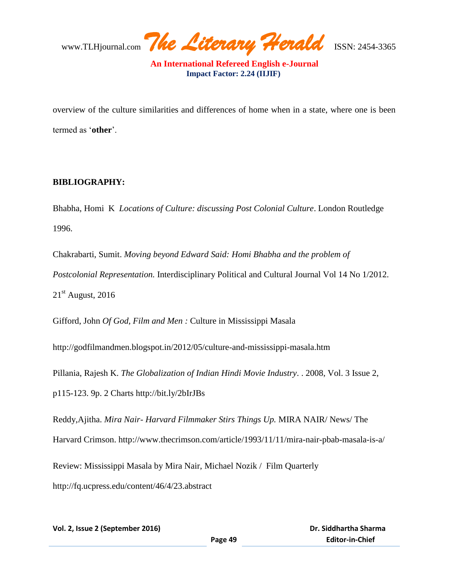www.TLHjournal.com *The Literary Herald*ISSN: 2454-3365

overview of the culture similarities and differences of home when in a state, where one is been termed as ‗**other**'.

## **BIBLIOGRAPHY:**

Bhabha, Homi K *Locations of Culture: discussing Post Colonial Culture*. London Routledge 1996.

Chakrabarti, Sumit. *Moving beyond Edward Said: Homi Bhabha and the problem of Postcolonial Representation.* Interdisciplinary Political and Cultural Journal Vol 14 No 1/2012.  $21<sup>st</sup>$  August, 2016

Gifford, John *Of God, Film and Men :* Culture in Mississippi Masala

http://godfilmandmen.blogspot.in/2012/05/culture-and-mississippi-masala.htm

Pillania, Rajesh K. *The Globalization of Indian Hindi Movie Industry*. . 2008, Vol. 3 Issue 2, p115-123. 9p. 2 Charts http://bit.ly/2bIrJBs

Reddy,Ajitha. *Mira Nair- Harvard Filmmaker Stirs Things Up.* MIRA NAIR/ News/ The Harvard Crimson. http://www.thecrimson.com/article/1993/11/11/mira-nair-pbab-masala-is-a/ Review: Mississippi Masala by Mira Nair, Michael Nozik / Film Quarterly http://fq.ucpress.edu/content/46/4/23.abstract